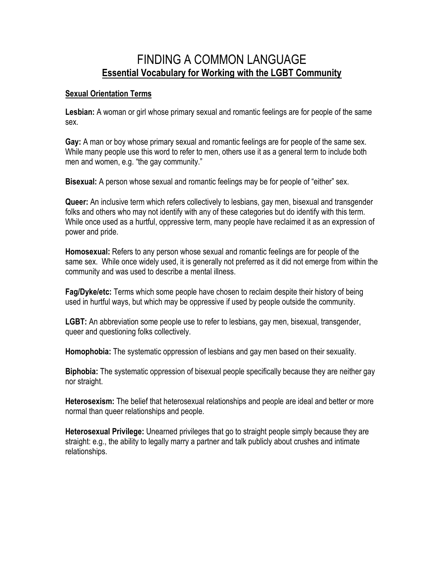## FINDING A COMMON LANGUAGE **Essential Vocabulary for Working with the LGBT Community**

## **Sexual Orientation Terms**

**Lesbian:** A woman or girl whose primary sexual and romantic feelings are for people of the same sex.

**Gay:** A man or boy whose primary sexual and romantic feelings are for people of the same sex. While many people use this word to refer to men, others use it as a general term to include both men and women, e.g. "the gay community."

**Bisexual:** A person whose sexual and romantic feelings may be for people of "either" sex.

**Queer:** An inclusive term which refers collectively to lesbians, gay men, bisexual and transgender folks and others who may not identify with any of these categories but do identify with this term. While once used as a hurtful, oppressive term, many people have reclaimed it as an expression of power and pride.

**Homosexual:** Refers to any person whose sexual and romantic feelings are for people of the same sex. While once widely used, it is generally not preferred as it did not emerge from within the community and was used to describe a mental illness.

**Fag/Dyke/etc:** Terms which some people have chosen to reclaim despite their history of being used in hurtful ways, but which may be oppressive if used by people outside the community.

**LGBT:** An abbreviation some people use to refer to lesbians, gay men, bisexual, transgender, queer and questioning folks collectively.

**Homophobia:** The systematic oppression of lesbians and gay men based on their sexuality.

**Biphobia:** The systematic oppression of bisexual people specifically because they are neither gay nor straight.

**Heterosexism:** The belief that heterosexual relationships and people are ideal and better or more normal than queer relationships and people.

**Heterosexual Privilege:** Unearned privileges that go to straight people simply because they are straight: e.g., the ability to legally marry a partner and talk publicly about crushes and intimate relationships.